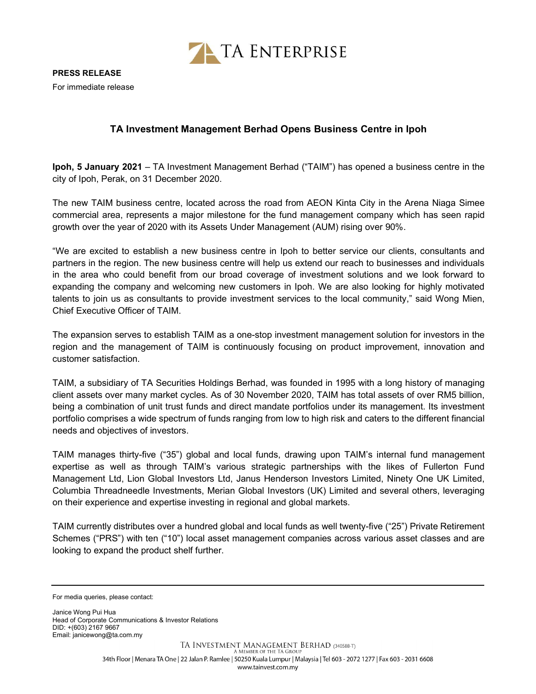

## TA Investment Management Berhad Opens Business Centre in Ipoh

Ipoh, 5 January 2021 – TA Investment Management Berhad ("TAIM") has opened a business centre in the city of Ipoh, Perak, on 31 December 2020.

The new TAIM business centre, located across the road from AEON Kinta City in the Arena Niaga Simee commercial area, represents a major milestone for the fund management company which has seen rapid growth over the year of 2020 with its Assets Under Management (AUM) rising over 90%.

"We are excited to establish a new business centre in Ipoh to better service our clients, consultants and partners in the region. The new business centre will help us extend our reach to businesses and individuals in the area who could benefit from our broad coverage of investment solutions and we look forward to expanding the company and welcoming new customers in Ipoh. We are also looking for highly motivated talents to join us as consultants to provide investment services to the local community," said Wong Mien, Chief Executive Officer of TAIM.

The expansion serves to establish TAIM as a one-stop investment management solution for investors in the region and the management of TAIM is continuously focusing on product improvement, innovation and customer satisfaction.

TAIM, a subsidiary of TA Securities Holdings Berhad, was founded in 1995 with a long history of managing client assets over many market cycles. As of 30 November 2020, TAIM has total assets of over RM5 billion, being a combination of unit trust funds and direct mandate portfolios under its management. Its investment portfolio comprises a wide spectrum of funds ranging from low to high risk and caters to the different financial needs and objectives of investors.

TAIM manages thirty-five ("35") global and local funds, drawing upon TAIM's internal fund management expertise as well as through TAIM's various strategic partnerships with the likes of Fullerton Fund Management Ltd, Lion Global Investors Ltd, Janus Henderson Investors Limited, Ninety One UK Limited, Columbia Threadneedle Investments, Merian Global Investors (UK) Limited and several others, leveraging on their experience and expertise investing in regional and global markets.

TAIM currently distributes over a hundred global and local funds as well twenty-five ("25") Private Retirement Schemes ("PRS") with ten ("10") local asset management companies across various asset classes and are looking to expand the product shelf further.

Janice Wong Pui Hua Head of Corporate Communications & Investor Relations DID: +(603) 2167 9667 Email: janicewong@ta.com.my

For media queries, please contact: